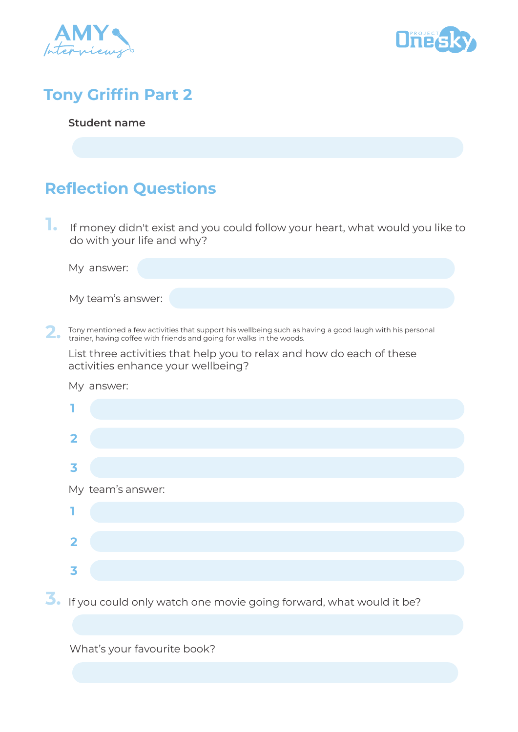



## **Tony Griffin Part 2**

**Student name**

## **Reflection Questions**

**1.** If money didn't exist and you could follow your heart, what would you like to do with your life and why?

| My answer:        |  |
|-------------------|--|
|                   |  |
| My team's answer: |  |

**2.** Tony mentioned a few activities that support his wellbeing such as having a good laugh with his personal trainer, having coffee with friends and going for walks in the woods. trainer, having coffee with friends and going for walks in the woods.

List three activities that help you to relax and how do each of these activities enhance your wellbeing?

| My answer:              |  |
|-------------------------|--|
|                         |  |
| $\overline{\mathbf{2}}$ |  |
| 3                       |  |
| My team's answer:       |  |
|                         |  |
| $\overline{\mathbf{2}}$ |  |
| 3                       |  |

**3.** If you could only watch one movie going forward, what would it be?

What's your favourite book?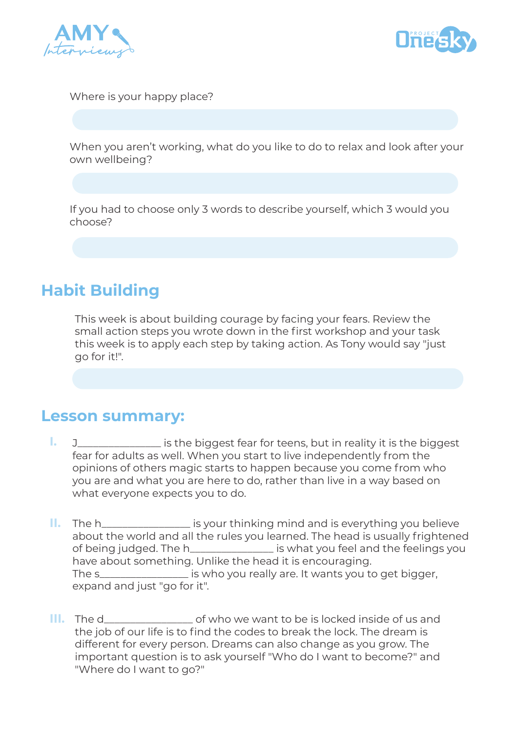



Where is your happy place?

When you aren't working, what do you like to do to relax and look after your own wellbeing?

If you had to choose only 3 words to describe yourself, which 3 would you choose?

### **Habit Building**

This week is about building courage by facing your fears. Review the small action steps you wrote down in the first workshop and your task this week is to apply each step by taking action. As Tony would say "just go for it!".

#### **Lesson summary:**

- J\_\_\_\_\_\_\_\_\_\_\_\_\_\_\_\_ is the biggest fear for teens, but in reality it is the biggest fear for adults as well. When you start to live independently from the opinions of others magic starts to happen because you come from who you are and what you are here to do, rather than live in a way based on what everyone expects you to do. **I.**
- **II.** The h\_\_\_\_\_\_\_\_\_\_\_\_\_\_\_\_\_\_ is your thinking mind and is everything you believe about the world and all the rules you learned. The head is usually frightened of being judged. The h\_\_\_\_\_\_\_\_\_\_\_\_\_\_\_\_ is what you feel and the feelings you have about something. Unlike the head it is encouraging. The s\_\_\_\_\_\_\_\_\_\_\_\_\_\_\_\_\_ is who you really are. It wants you to get bigger, expand and just "go for it".
- **III.** The d\_\_\_\_\_\_\_\_\_\_\_\_\_\_\_\_\_\_\_\_\_\_ of who we want to be is locked inside of us and the job of our life is to find the codes to break the lock. The dream is different for every person. Dreams can also change as you grow. The important question is to ask yourself "Who do I want to become?" and "Where do I want to go?"